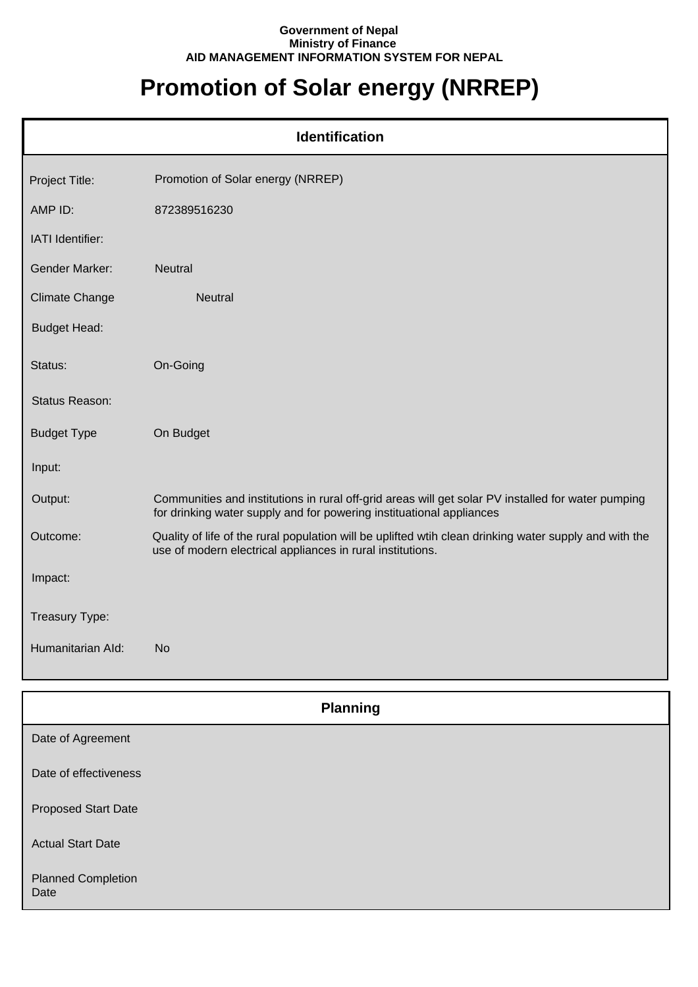## **Government of Nepal Ministry of Finance AID MANAGEMENT INFORMATION SYSTEM FOR NEPAL**

## **Promotion of Solar energy (NRREP)**

| <b>Identification</b> |                                                                                                                                                                            |  |
|-----------------------|----------------------------------------------------------------------------------------------------------------------------------------------------------------------------|--|
| Project Title:        | Promotion of Solar energy (NRREP)                                                                                                                                          |  |
| AMP ID:               | 872389516230                                                                                                                                                               |  |
| IATI Identifier:      |                                                                                                                                                                            |  |
| <b>Gender Marker:</b> | <b>Neutral</b>                                                                                                                                                             |  |
| <b>Climate Change</b> | <b>Neutral</b>                                                                                                                                                             |  |
| <b>Budget Head:</b>   |                                                                                                                                                                            |  |
| Status:               | On-Going                                                                                                                                                                   |  |
| Status Reason:        |                                                                                                                                                                            |  |
| <b>Budget Type</b>    | On Budget                                                                                                                                                                  |  |
| Input:                |                                                                                                                                                                            |  |
| Output:               | Communities and institutions in rural off-grid areas will get solar PV installed for water pumping<br>for drinking water supply and for powering instituational appliances |  |
| Outcome:              | Quality of life of the rural population will be uplifted wtih clean drinking water supply and with the<br>use of modern electrical appliances in rural institutions.       |  |
| Impact:               |                                                                                                                                                                            |  |
| Treasury Type:        |                                                                                                                                                                            |  |
| Humanitarian Ald:     | <b>No</b>                                                                                                                                                                  |  |

| <b>Planning</b>                   |
|-----------------------------------|
| Date of Agreement                 |
| Date of effectiveness             |
| <b>Proposed Start Date</b>        |
| <b>Actual Start Date</b>          |
| <b>Planned Completion</b><br>Date |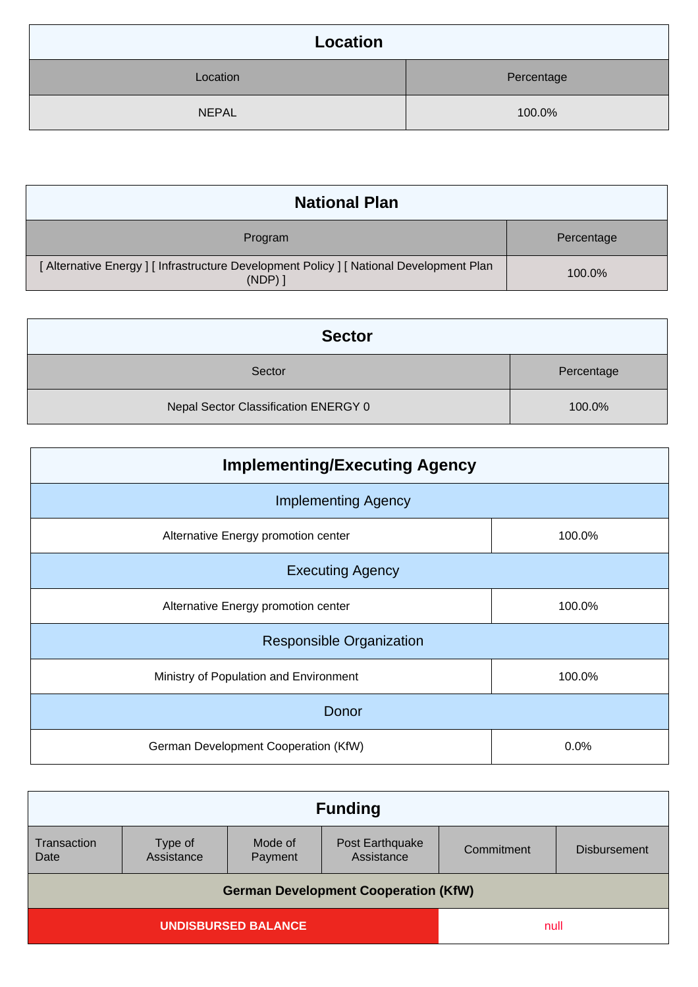| Location     |            |  |
|--------------|------------|--|
| Location     | Percentage |  |
| <b>NEPAL</b> | 100.0%     |  |

| <b>National Plan</b>                                                                              |            |  |
|---------------------------------------------------------------------------------------------------|------------|--|
| Program                                                                                           | Percentage |  |
| [ Alternative Energy ] [ Infrastructure Development Policy ] [ National Development Plan<br>(NDP) | 100.0%     |  |

| <b>Sector</b>                        |            |  |
|--------------------------------------|------------|--|
| Sector                               | Percentage |  |
| Nepal Sector Classification ENERGY 0 | 100.0%     |  |

| <b>Implementing/Executing Agency</b>   |        |  |  |
|----------------------------------------|--------|--|--|
| <b>Implementing Agency</b>             |        |  |  |
| Alternative Energy promotion center    | 100.0% |  |  |
| <b>Executing Agency</b>                |        |  |  |
| Alternative Energy promotion center    | 100.0% |  |  |
| <b>Responsible Organization</b>        |        |  |  |
| Ministry of Population and Environment | 100.0% |  |  |
| Donor                                  |        |  |  |
| German Development Cooperation (KfW)   | 0.0%   |  |  |

|                                             | <b>Funding</b>     |                               |            |                     |
|---------------------------------------------|--------------------|-------------------------------|------------|---------------------|
| Type of<br>Assistance                       | Mode of<br>Payment | Post Earthquake<br>Assistance | Commitment | <b>Disbursement</b> |
| <b>German Development Cooperation (KfW)</b> |                    |                               |            |                     |
| <b>UNDISBURSED BALANCE</b>                  |                    |                               | null       |                     |
|                                             |                    |                               |            |                     |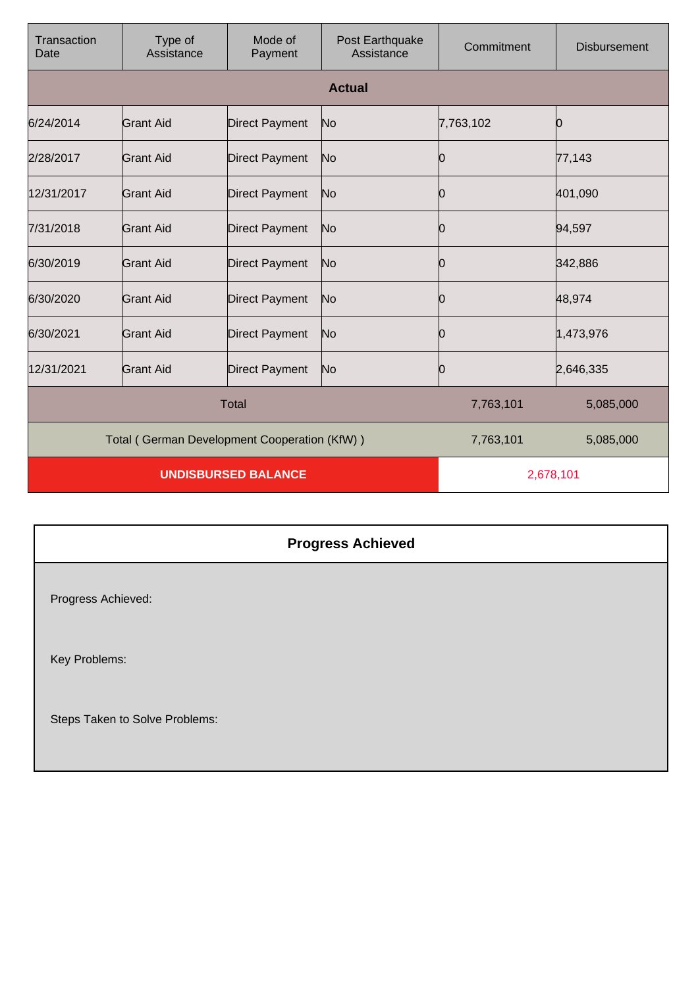| Transaction<br>Date                          | Type of<br>Assistance | Mode of<br>Payment    | Post Earthquake<br>Assistance | Commitment | <b>Disbursement</b> |
|----------------------------------------------|-----------------------|-----------------------|-------------------------------|------------|---------------------|
|                                              | <b>Actual</b>         |                       |                               |            |                     |
| 6/24/2014                                    | <b>Grant Aid</b>      | <b>Direct Payment</b> | No                            | 7,763,102  | 0                   |
| 2/28/2017                                    | <b>Grant Aid</b>      | <b>Direct Payment</b> | No                            | 0          | 77,143              |
| 12/31/2017                                   | <b>Grant Aid</b>      | <b>Direct Payment</b> | No                            | 0          | 401,090             |
| 7/31/2018                                    | <b>Grant Aid</b>      | <b>Direct Payment</b> | No                            | Ю          | 94,597              |
| 6/30/2019                                    | Grant Aid             | <b>Direct Payment</b> | No                            | 0          | 342,886             |
| 6/30/2020                                    | <b>Grant Aid</b>      | <b>Direct Payment</b> | No                            | 0          | 48,974              |
| 6/30/2021                                    | Grant Aid             | <b>Direct Payment</b> | No                            | 0          | 1,473,976           |
| 12/31/2021                                   | <b>Grant Aid</b>      | <b>Direct Payment</b> | No                            | Ю          | 2,646,335           |
| <b>Total</b>                                 |                       |                       | 7,763,101                     | 5,085,000  |                     |
| Total (German Development Cooperation (KfW)) |                       |                       | 7,763,101                     | 5,085,000  |                     |
| <b>UNDISBURSED BALANCE</b>                   |                       |                       | 2,678,101                     |            |                     |

## **Progress Achieved**

Progress Achieved:

Key Problems:

Steps Taken to Solve Problems: